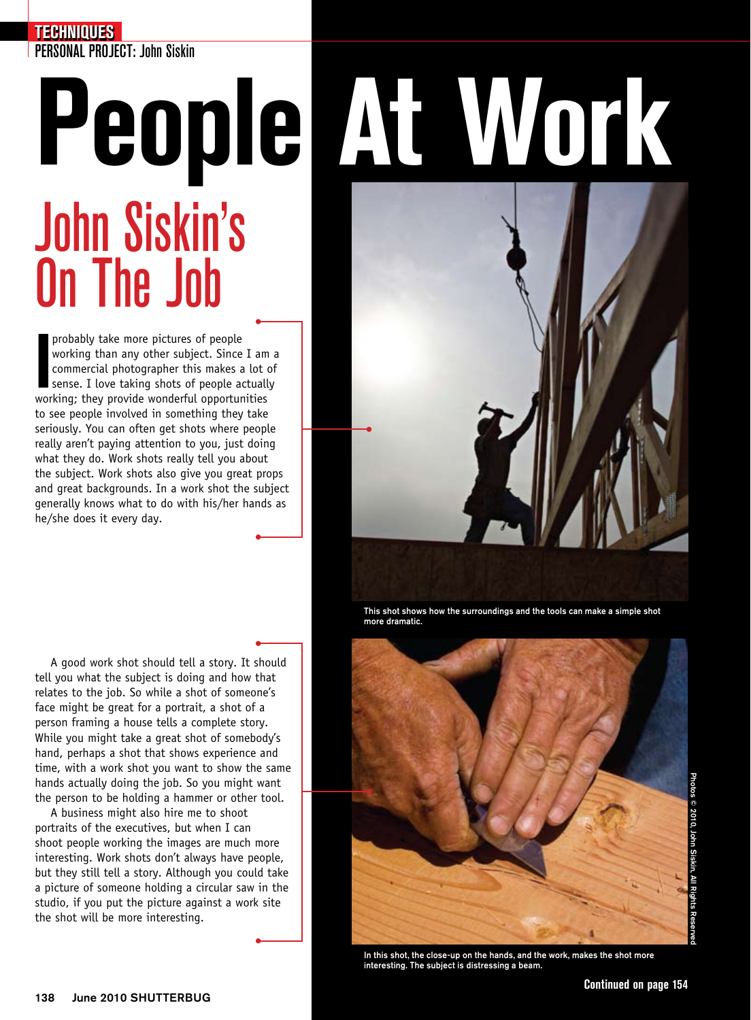### **TECHNIQUES**

PERSONAL PROJECT: John Siskin

# John Siskin's On The Job

probably take more pictures of people<br>working than any other subject. Since I am<br>commercial photographer this makes a lot c<br>sense. I love taking shots of people actually<br>working; they provide wonderful opportunities probably take more pictures of people working than any other subject. Since I am a commercial photographer this makes a lot of sense. I love taking shots of people actually to see people involved in something they take seriously. You can often get shots where people really aren't paying attention to you, just doing what they do. Work shots really tell you about the subject. Work shots also give you great props and great backgrounds. In a work shot the subject generally knows what to do with his/her hands as he/she does it every day.

A good work shot should tell a story. It should tell you what the subject is doing and how that relates to the job. So while a shot of someone's face might be great for a portrait, a shot of a person framing a house tells a complete story. While you might take a great shot of somebody's hand, perhaps a shot that shows experience and time, with a work shot you want to show the same hands actually doing the job. So you might want the person to be holding a hammer or other tool.

A business might also hire me to shoot portraits of the executives, but when I can shoot people working the images are much more interesting. Work shots don't always have people, but they still tell a story. Although you could take a picture of someone holding a circular saw in the studio, if you put the picture against a work site the shot will be more interesting.

# **People At Work**



This shot shows how the surroundings and the tools can make a simple shot more dramatic.



In this shot, the close-up on the hands, and the work, makes the shot more interesting. The subject is distressing a beam.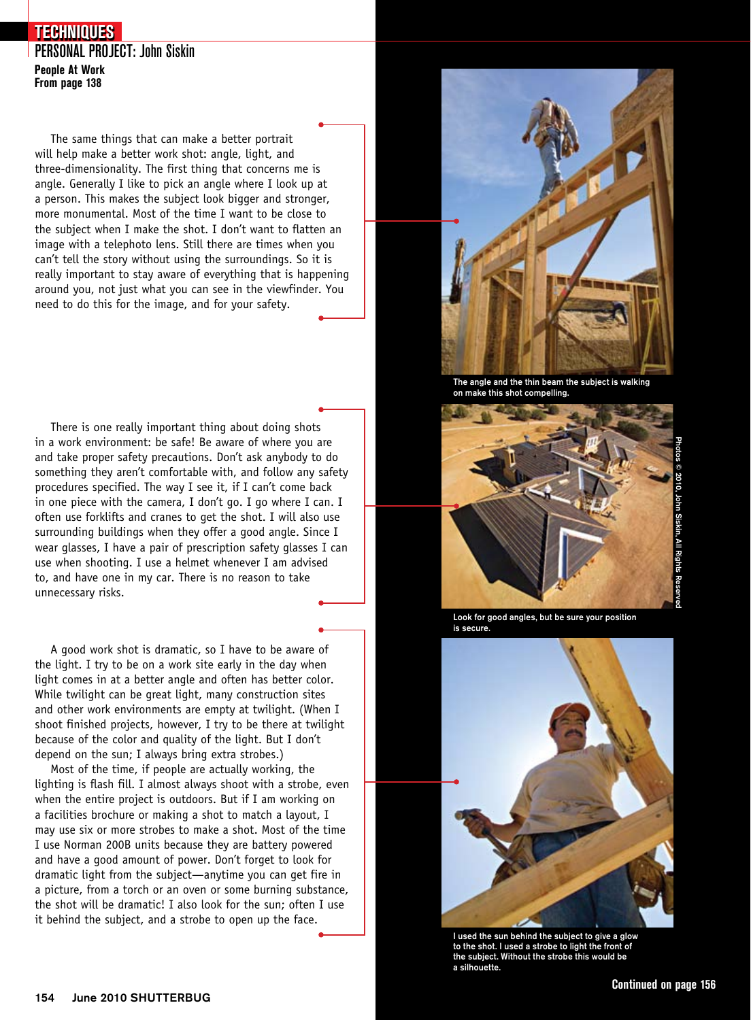### PERSONAL PROJECT: John Siskin **People At Work From page 138 TECHNIQUES**

The same things that can make a better portrait will help make a better work shot: angle, light, and three-dimensionality. The first thing that concerns me is angle. Generally I like to pick an angle where I look up at a person. This makes the subject look bigger and stronger, more monumental. Most of the time I want to be close to the subject when I make the shot. I don't want to flatten an image with a telephoto lens. Still there are times when you can't tell the story without using the surroundings. So it is really important to stay aware of everything that is happening around you, not just what you can see in the viewfinder. You need to do this for the image, and for your safety.

There is one really important thing about doing shots in a work environment: be safe! Be aware of where you are and take proper safety precautions. Don't ask anybody to do something they aren't comfortable with, and follow any safety procedures specified. The way I see it, if I can't come back in one piece with the camera, I don't go. I go where I can. I often use forklifts and cranes to get the shot. I will also use surrounding buildings when they offer a good angle. Since I wear glasses, I have a pair of prescription safety glasses I can use when shooting. I use a helmet whenever I am advised to, and have one in my car. There is no reason to take unnecessary risks.

A good work shot is dramatic, so I have to be aware of the light. I try to be on a work site early in the day when light comes in at a better angle and often has better color. While twilight can be great light, many construction sites and other work environments are empty at twilight. (When I shoot finished projects, however, I try to be there at twilight because of the color and quality of the light. But I don't depend on the sun; I always bring extra strobes.)

Most of the time, if people are actually working, the lighting is flash fill. I almost always shoot with a strobe, even when the entire project is outdoors. But if I am working on a facilities brochure or making a shot to match a layout, I may use six or more strobes to make a shot. Most of the time I use Norman 200B units because they are battery powered and have a good amount of power. Don't forget to look for dramatic light from the subject—anytime you can get fire in a picture, from a torch or an oven or some burning substance, the shot will be dramatic! I also look for the sun; often I use it behind the subject, and a strobe to open up the face.



The angle and the thin beam the subject is walking on make this shot compelling.



Look for good angles, but be sure your position is secure.



I used the sun behind the subject to give a glow to the shot. I used a strobe to light the front of the subject. Without the strobe this would be a silhouette.